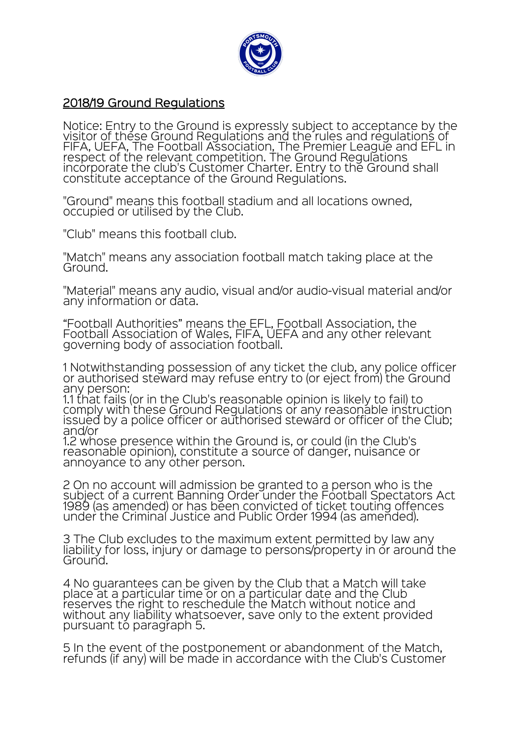

## 2018/19 Ground Regulations

Notice: Entry to the Ground is expressly subject to acceptance by the<br>visitor of these Ground Regulations and the rules and regulations of FIFA, UEFA, The Football Association, The Premier League and EFL in respect of the relevant competition. The Ground Regulations incorporate the club's Customer Charter. Entry to the Ground shall constitute acceptance of the Ground Regulations.

"Ground" means this football stadium and all locations owned, occupied or utilised by the Club.

"Club" means this football club.

"Match" means any association football match taking place at the Ground.

"Material" means any audio, visual and/or audio-visual material and/or any information or data.

"Football Authorities" means the EFL, Football Association, the Football Association of Wales, FIFA, UEFA and any other relevant governing body of association football.

1 Notwithstanding possession of any ticket the club, any police officer or authorised steward may refuse entry to (or eject from) the Ground any person:

1.1 that fails (or in the Club's reasonable opinion is likely to fail) to comply with these Ground Regulations or any reasonable instruction issued by a police officer or authorised steward or officer of the Club; and/or

1.2 whose presence within the Ground is, or could (in the Club's reasonable opinion), constitute a source of danger, nuisance or<br>annoyance to any other person.

2 On no account will admission be granted to a person who is the subject of a current Banning Order under the Football Spectators Act 1989 (as amended) or has been convicted of ticket touting offences under the Criminal Justice and Public Order 1994 (as amended).

3 The Club excludes to the maximum extent permitted by law any liability for loss, injury or damage to persons/property in or around the Ground.

4 No guarantees can be given by the Club that a Match will take place at a particular time or on a particular date and the Club reserves the right to reschedule the Match without notice and without any liability whatsoever, save only to the extent provided pursuant to paragraph 5.

5 In the event of the postponement or abandonment of the Match, refunds (if any) will be made in accordance with the Club's Customer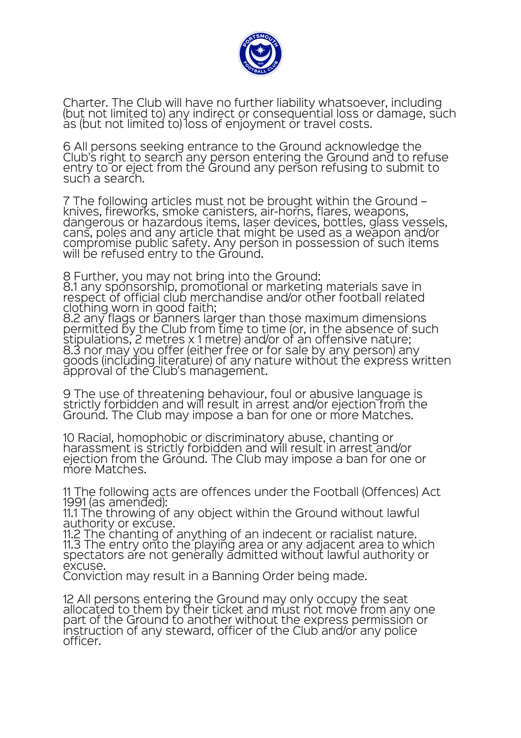

Charter. The Club will have no further liability whatsoever, including (but not limited to) any indirect or consequential loss or damage, such as (but not limited to) loss of enjoyment or travel costs.

6 All persons seeking entrance to the Ground acknowledge the Club's right to search any person entering the Ground and to refuse entry to or eject from the Ground any person refusing to submit to such a search.

7 The following articles must not be brought within the Ground – knives, fireworks, smoke canisters, air-horns, flares, weapons, dangerous or hazardous items, laser devices, bottles, glass vessels, cans, poles and any article that might be used as a weapon and/or compromise public safety. Any person in possession of such items will be refused entry to the Ground.

8 Further, you may not bring into the Ground: 8.1 any sponsorship, promotional or marketing materials save in respect of official club merchandise and/or other football related clothing worn in good faith;

8.2 any flags or banners larger than those maximum dimensions permitted by the Club from time to time (or, in the absence of such stipulations, 2 metres x 1 metre) and/or of an offensive nature;<br>8.3 nor may you offer (either free or for sale by any person) any goods (including literature) of any nature without the express written approval of the Club's management.

9 The use of threatening behaviour, foul or abusive language is strictly forbidden and will result in arrest and/or ejection from the Ground. The Club may impose a ban for one or more Matches.

10 Racial, homophobic or discriminatory abuse, chanting or harassment is strictly forbidden and will result in arrest and/or ejection from the Ground. The Club may impose a ban for one or more Matches.

11 The following acts are offences under the Football (Offences) Act 1991 (as amended):

11.1 The throwing of any object within the Ground without lawful authority or excuse.

11.2 The chanting of anything of an indecent or racialist nature. 11.3 The entry onto the playing area or any adjacent area to which spectators are not generally admitted without lawful authority or excuse.

Conviction may result in a Banning Order being made.

12 All persons entering the Ground may only occupy the seat allocated to them by their ticket and must not move from any one part of the Ground to another without the express permission or instruction of any steward, officer of the Club and/or any police officer.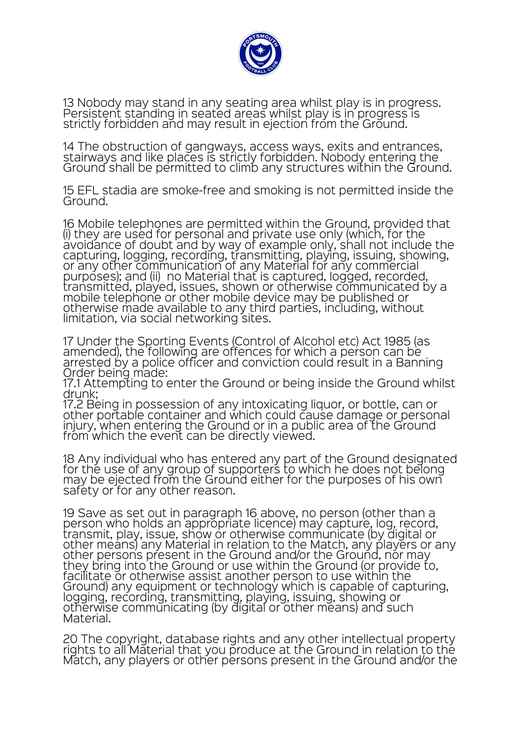

13 Nobody may stand in any seating area whilst play is in progress. Persistent standing in seated areas whilst play is in progress is strictly forbidden and may result in ejection from the Ground.

14 The obstruction of gangways, access ways, exits and entrances, stairways and like places is strictly forbidden. Nobody entering the Ground shall be permitted to climb any structures within the Ground.

15 EFL stadia are smoke-free and smoking is not permitted inside the Ground.

16 Mobile telephones are permitted within the Ground, provided that<br>(i) they are used for personal and private use only (which, for the avoidance of doubt and by way of example only, shall not include the capturing, logging, recording, transmitting, playing, issuing, showing, or any other communication of any Material for any commercial<br>purposes); and (ii) no Material that is captured, logged, recorded,<br>transmitted, played, issues, shown or otherwise communicated by a mobile telephone or other mobile device may be published or otherwise made available to any third parties, including, without limitation, via social networking sites.

17 Under the Sporting Events (Control of Alcohol etc) Act 1985 (as amended), the following are offences for which a person can be arrested by a police officer and conviction could result in a Banning Order being made:

17.1 Attempting to enter the Ground or being inside the Ground whilst drunk;

17.2 Being in possession of any intoxicating liquor, or bottle, can or other portable container and which could cause damage or personal injury, when entering the Ground or in a public area of the Ground from which the event can be directly viewed.

18 Any individual who has entered any part of the Ground designated for the use of any group of supporters to which he does not belong may be ejected from the Ground either for the purposes of his own safety or for any other reason.

19 Save as set out in paragraph 16 above, no person (other than a person who holds an appropriate licence) may capture, log, record, transmit, play, issue, show or otherwise communicate (by digital or other means) any Material in relation to the Match, any players or any other persons present in the Ground and/or the Ground, nor may they bring into the Ground or use within the Ground (or provide to, facilitate or otherwise assist another person to use within the Ground) any equipment or technology which is capable of capturing, logging, recording, transmitting, playing, issuing, showing or otherwise communicating (by digital or other means) and such Material.

20 The copyright, database rights and any other intellectual property rights to all Material that you produce at the Ground in relation to the Match, any players or other persons present in the Ground and/or the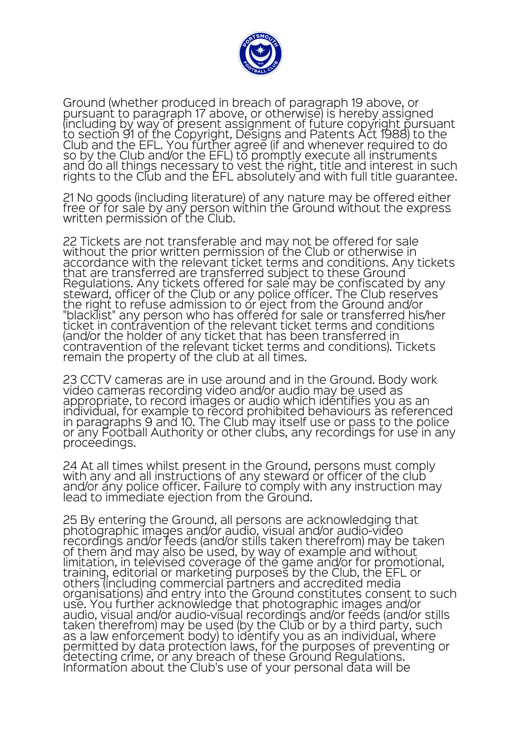

Ground (whether produced in breach of paragraph 19 above, or pursuant to paragraph 17 above, or otherwise) is hereby assigned (including by way of present assignment of future copyright pursuant<br>to section 91 of the Copyright, Designs and Patents Act 1988) to the Club and the EFL. You further agree (if and whenever required to do so by the Club and/or the EFL) to promptly execute all instruments and do all things necessary to vest the right, title and interest in such rights to the Club and the EFL absolutely and with full title guarantee.

21 No goods (including literature) of any nature may be offered either free or for sale by any person within the Ground without the express written permission of the Club.

22 Tickets are not transferable and may not be offered for sale without the prior written permission of the Club or otherwise in accordance with the relevant ticket terms and conditions. Any tickets that are transferred are transferred subject to these Ground Regulations. Any tickets offered for sale may be confiscated by any steward, officer of the Club or any police officer. The Club reserves the right to refuse admission to or eject from the Ground and/or "blacklist" any person who has offered for sale or transferred his/her ticket in contravention of the relevant ticket terms and conditions (and/or the holder of any ticket that has been transferred in contravention of the relevant ticket terms and conditions). Tickets remain the property of the club at all times.

23 CCTV cameras are in use around and in the Ground. Body work video cameras recording video and/or audio may be used as appropriate, to record images or audio which identifies you as an individual, for example to record prohibited behaviours as referenced in paragraphs 9 and 10. The Club may itself use or pass to the police or any Football Authority or other clubs, any recordings for use in any proceedings.

24 At all times whilst present in the Ground, persons must comply with any and all instructions of any steward or officer of the club and/or any police officer. Failure to comply with any instruction may lead to immediate ejection from the Ground.

25 By entering the Ground, all persons are acknowledging that photographic images and/or audio, visual and/or audio-video recordings and/or feeds (and/or stills taken therefrom) may be taken of them and may also be used, by way of example and without limitation, in televised coverage of the game and/or for promotional, training, editorial or marketing purposes by the Club, the EFL or others (including commercial partners and accredited media organisations) and entry into the Ground constitutes consent to such use. You further acknowledge that photographic images and/or use. You further acknowledge that photographic images and/or<br>audio, visual and/or audio-visual recordings and/or feeds (and/or stills<br>taken therefrom) may be used (by the Club or by a third party, such as a law enforcement body) to identify you as an individual, where permitted by data protection laws, for the purposes of preventing or detecting crime, or any breach of these Ground Regulations. Information about the Club's use of your personal data will be